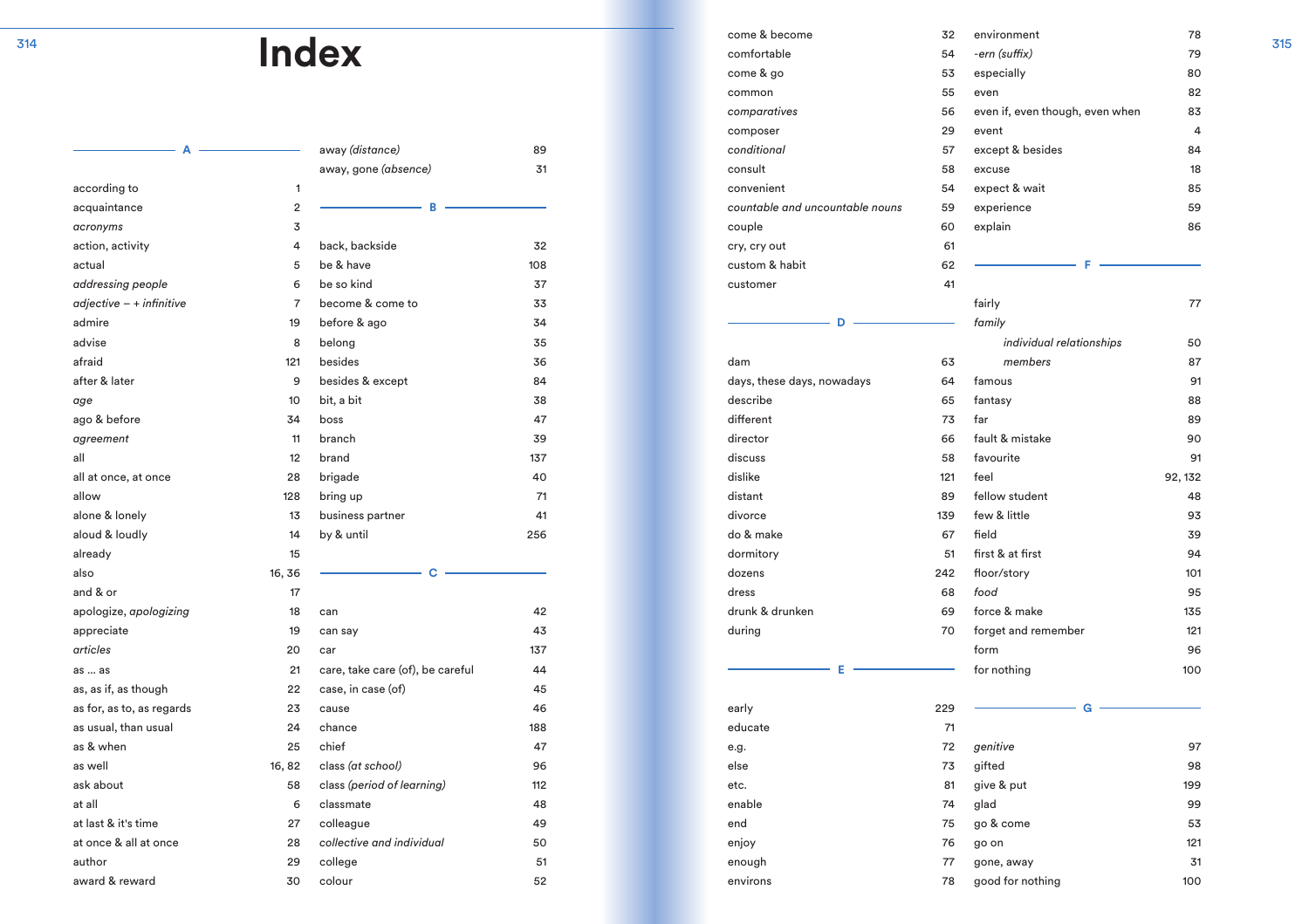|                           |        | away (distance)                  | 89  |
|---------------------------|--------|----------------------------------|-----|
|                           |        | away, gone (absence)             | 31  |
| according to              | 1      |                                  |     |
| acquaintance              | 2      | в                                |     |
| acronyms                  | 3      |                                  |     |
| action, activity          | 4      | back, backside                   | 32  |
| actual                    | 5      | be & have                        | 108 |
| addressing people         | 6      | be so kind                       | 37  |
| $adjective - + infinite$  | 7      | become & come to                 | 33  |
| admire                    | 19     | before & ago                     | 34  |
| advise                    | 8      | belong                           | 35  |
| afraid                    | 121    | besides                          | 36  |
| after & later             | 9      | besides & except                 | 84  |
| age                       | 10     | bit, a bit                       | 38  |
| ago & before              | 34     | boss                             | 47  |
| agreement                 | 11     | branch                           | 39  |
| all                       | 12     | brand                            | 137 |
| all at once, at once      | 28     | brigade                          | 40  |
| allow                     | 128    | bring up                         | 71  |
| alone & lonely            | 13     | business partner                 | 41  |
| aloud & loudly            | 14     | by & until                       | 256 |
| already                   | 15     |                                  |     |
| also                      | 16, 36 | C                                |     |
| and & or                  | 17     |                                  |     |
| apologize, apologizing    | 18     | can                              | 42  |
| appreciate                | 19     | can say                          | 43  |
| articles                  | 20     | car                              | 137 |
| as  as                    | 21     | care, take care (of), be careful | 44  |
| as, as if, as though      | 22     | case, in case (of)               | 45  |
| as for, as to, as regards | 23     | cause                            | 46  |
| as usual, than usual      | 24     | chance                           | 188 |
| as & when                 | 25     | chief                            | 47  |
| as well                   | 16, 82 | class (at school)                | 96  |
| ask about                 | 58     | class (period of learning)       | 112 |
| at all                    | 6      | classmate                        | 48  |
| at last & it's time       | 27     | colleague                        | 49  |
| at once & all at once     | 28     | collective and individual        | 50  |
| author                    | 29     | college                          | 51  |
| award & reward            | 30     | colour                           | 52  |
|                           |        |                                  |     |

|                           |                |                                  |       | come & become                   | 32  | environment                     | 78      | 315 |
|---------------------------|----------------|----------------------------------|-------|---------------------------------|-----|---------------------------------|---------|-----|
|                           |                | <b>Index</b>                     |       | comfortable                     | 54  | -ern (suffix)                   | 79      |     |
|                           |                |                                  |       | come & go                       | 53  | especially                      | 80      |     |
|                           |                |                                  |       | common                          | 55  | even                            | 82      |     |
|                           |                |                                  |       | comparatives                    | 56  | even if, even though, even when | 83      |     |
|                           |                |                                  |       | composer                        | 29  | event                           | 4       |     |
|                           |                | away (distance)                  | 89    | conditional                     | 57  | except & besides                | 84      |     |
|                           |                | away, gone (absence)             | 31    | consult                         | 58  | excuse                          | 18      |     |
| according to              |                |                                  |       | convenient                      | 54  | expect & wait                   | 85      |     |
| acquaintance              | $\overline{2}$ |                                  |       | countable and uncountable nouns | 59  | experience                      | 59      |     |
| acronyms                  | 3              |                                  |       | couple                          | 60  | explain                         | 86      |     |
| action, activity          | 4              | back, backside                   | 32    | cry, cry out                    | 61  |                                 |         |     |
| actual                    | 5              | be & have                        | 108   | custom & habit                  | 62  |                                 |         |     |
| addressing people         | 6              | be so kind                       | 37    | customer                        | 41  |                                 |         |     |
| $adjective - + infinite$  | 7              | become & come to                 | 33    |                                 |     | fairly                          | $77\,$  |     |
| admire                    | 19             | before & ago                     | 34    | D                               |     | family                          |         |     |
| advise                    | 8              | belong                           | 35    |                                 |     | individual relationships        | 50      |     |
| afraid                    | 121            | besides                          | 36    | dam                             | 63  | members                         | 87      |     |
| after & later             | 9              | besides & except                 | 84    | days, these days, nowadays      | 64  | famous                          | 91      |     |
| age                       | 10             | bit, a bit                       | 38    | describe                        | 65  | fantasy                         | 88      |     |
| ago & before              | 34             | boss                             | 47    | different                       | 73  | far                             | 89      |     |
| agreement                 | 11             | branch                           | 39    | director                        | 66  | fault & mistake                 | 90      |     |
| all                       | 12             | brand                            | 137   | discuss                         | 58  | favourite                       | 91      |     |
| all at once, at once      | 28             | brigade                          | 40    | dislike                         | 121 | feel                            | 92, 132 |     |
| allow                     | 128            | bring up                         | 71    | distant                         | 89  | fellow student                  | 48      |     |
| alone & lonely            | 13             | business partner                 | 41    | divorce                         | 139 | few & little                    | 93      |     |
| aloud & loudly            | 14             | by & until                       | 256   | do & make                       | 67  | field                           | 39      |     |
| already                   | 15             |                                  |       | dormitory                       | 51  | first & at first                | 94      |     |
| also                      | 16, 36         | C                                |       | dozens                          | 242 | floor/story                     | 101     |     |
| and & or                  | 17             |                                  |       | dress                           | 68  | food                            | 95      |     |
| apologize, apologizing    | 18             | can                              | 42    | drunk & drunken                 | 69  | force & make                    | 135     |     |
| appreciate                | 19             | can say                          | 43    | during                          | 70  | forget and remember             | 121     |     |
| articles                  | 20             | car                              | 137   |                                 |     | form                            | 96      |     |
| as  as                    | 21             | care, take care (of), be careful | 44    | E                               |     | for nothing                     | 100     |     |
| as, as if, as though      | 22             | case, in case (of)               | 45    |                                 |     |                                 |         |     |
| as for, as to, as regards | 23             | cause                            | 46    | early                           | 229 | G                               |         |     |
| as usual, than usual      | 24             | chance                           | 188   | educate                         | 71  |                                 |         |     |
| as & when                 | 25             | chief                            | 47    | e.g.                            | 72  | genitive                        | 97      |     |
| as well                   | 16, 82         | class (at school)                | 96    | else                            | 73  | gifted                          | 98      |     |
| ask about                 | 58             | class (period of learning)       | $112$ | etc.                            | 81  | give & put                      | 199     |     |
| at all                    | 6              | classmate                        | 48    | enable                          | 74  | glad                            | 99      |     |
| at last & it's time       | 27             | colleague                        | 49    | end                             | 75  | go & come                       | 53      |     |
| at once & all at once     | 28             | collective and individual        | 50    | enjoy                           | 76  | go on                           | 121     |     |
|                           |                |                                  |       |                                 |     |                                 |         |     |
| author                    | 29             | college                          | 51    | enough                          | 77  | gone, away                      | 31      |     |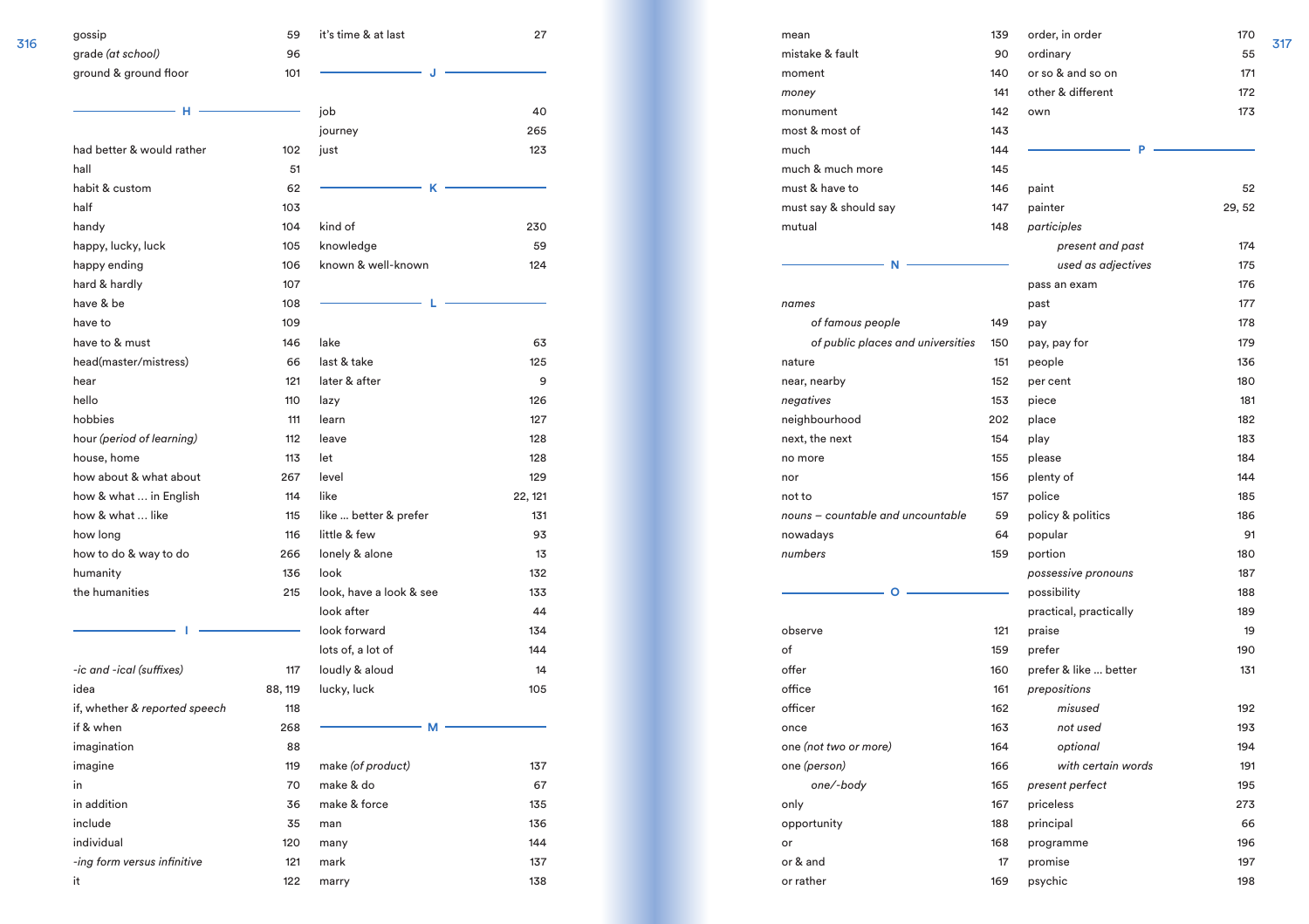|     | gossip                        | 59      | it's time & at last     | 27      |
|-----|-------------------------------|---------|-------------------------|---------|
| 316 | grade (at school)             | 96      |                         |         |
|     | ground & ground floor         | 101     |                         |         |
|     | н                             |         | job                     | 40      |
|     |                               |         | journey                 | 265     |
|     | had better & would rather     | 102     | just                    | 123     |
|     | hall                          | 51      |                         |         |
|     | habit & custom                | 62      | κ                       |         |
|     | half                          | 103     |                         |         |
|     | handy                         | 104     | kind of                 | 230     |
|     | happy, lucky, luck            | 105     | knowledge               | 59      |
|     | happy ending                  | 106     | known & well-known      | 124     |
|     | hard & hardly                 | 107     |                         |         |
|     | have & be                     | 108     |                         |         |
|     | have to                       | 109     |                         |         |
|     | have to & must                | 146     | lake                    | 63      |
|     | head(master/mistress)         | 66      | last & take             | 125     |
|     | hear                          | 121     | later & after           | 9       |
|     | hello                         | 110     | lazy                    | 126     |
|     | hobbies                       | 111     | learn                   | 127     |
|     | hour (period of learning)     | 112     | leave                   | 128     |
|     | house, home                   | 113     | let                     | 128     |
|     | how about & what about        | 267     | level                   | 129     |
|     | how & what  in English        | 114     | like                    | 22, 121 |
|     | how & what  like              | 115     | like  better & prefer   | 131     |
|     | how long                      | 116     | little & few            | 93      |
|     | how to do & way to do         | 266     | lonely & alone          | 13      |
|     | humanity                      | 136     | look                    | 132     |
|     | the humanities                | 215     | look, have a look & see | 133     |
|     |                               |         | look after              | 44      |
|     |                               |         | look forward            | 134     |
|     |                               |         | lots of, a lot of       | 144     |
|     | -ic and -ical (suffixes)      | 117     | loudly & aloud          | 14      |
|     | idea                          | 88, 119 | lucky, luck             | 105     |
|     | if, whether & reported speech | 118     |                         |         |
|     | if & when                     | 268     | М                       |         |
|     | imagination                   | 88      |                         |         |
|     | imagine                       | 119     | make (of product)       | 137     |
|     | in                            | 70      | make & do               | 67      |
|     | in addition                   | 36      | make & force            | 135     |
|     | include                       | 35      | man                     | 136     |
|     | individual                    | 120     | many                    | 144     |
|     | -ing form versus infinitive   | 121     | mark                    | 137     |
|     | it                            | 122     | marry                   | 138     |

265 123

230

 $124$ 

> 132  $133$

 $144$ 

 $105$ 

136 144

| mean                              | 139 | order, in order        | 170    |     |
|-----------------------------------|-----|------------------------|--------|-----|
| mistake & fault                   | 90  | ordinary               | 55     | 317 |
| moment                            | 140 | or so & and so on      | 171    |     |
| money                             | 141 | other & different      | 172    |     |
| monument                          | 142 | own                    | 173    |     |
| most & most of                    | 143 |                        |        |     |
| much                              | 144 | P                      |        |     |
| much & much more                  | 145 |                        |        |     |
| must & have to                    | 146 | paint                  | 52     |     |
| must say & should say             | 147 | painter                | 29, 52 |     |
| mutual                            | 148 | participles            |        |     |
|                                   |     | present and past       | 174    |     |
| N                                 |     | used as adjectives     | 175    |     |
|                                   |     | pass an exam           | 176    |     |
| names                             |     | past                   | 177    |     |
| of famous people                  | 149 | pay                    | 178    |     |
| of public places and universities | 150 | pay, pay for           | 179    |     |
| nature                            | 151 | people                 | 136    |     |
| near, nearby                      | 152 | per cent               | 180    |     |
| negatives                         | 153 | piece                  | 181    |     |
| neighbourhood                     | 202 | place                  | 182    |     |
| next, the next                    | 154 | play                   | 183    |     |
| no more                           | 155 | please                 | 184    |     |
| nor                               | 156 | plenty of              | 144    |     |
| not to                            | 157 | police                 | 185    |     |
| nouns - countable and uncountable | 59  | policy & politics      | 186    |     |
| nowadays                          | 64  | popular                | 91     |     |
| numbers                           | 159 | portion                | 180    |     |
|                                   |     | possessive pronouns    | 187    |     |
| Ο                                 |     | possibility            | 188    |     |
|                                   |     | practical, practically | 189    |     |
| observe                           | 121 | praise                 | 19     |     |
| of                                | 159 | prefer                 | 190    |     |
| offer                             | 160 | prefer & like  better  | 131    |     |
| office                            | 161 | prepositions           |        |     |
| officer                           | 162 | misused                | 192    |     |
| once                              | 163 | not used               | 193    |     |
| one (not two or more)             | 164 | optional               | 194    |     |
| one (person)                      | 166 | with certain words     | 191    |     |
| one/-body                         | 165 | present perfect        | 195    |     |
| only                              | 167 | priceless              | 273    |     |
| opportunity                       | 188 | principal              | 66     |     |
| or                                | 168 | programme              | 196    |     |
| or & and                          | 17  | promise                | 197    |     |
| or rather                         | 169 | psychic                | 198    |     |
|                                   |     |                        |        |     |